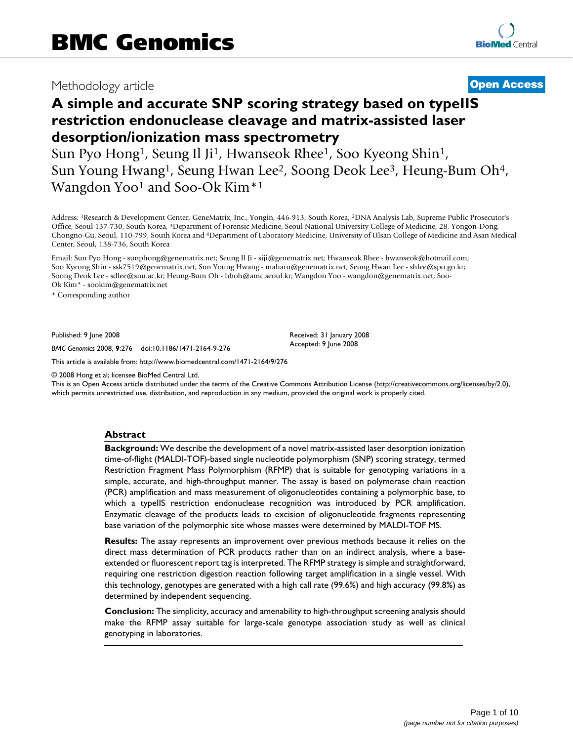# Methodology article **[Open Access](http://www.biomedcentral.com/info/about/charter/)**

# **A simple and accurate SNP scoring strategy based on typeIIS restriction endonuclease cleavage and matrix-assisted laser desorption/ionization mass spectrometry**

Sun Pyo Hong<sup>1</sup>, Seung Il Ji<sup>1</sup>, Hwanseok Rhee<sup>1</sup>, Soo Kyeong Shin<sup>1</sup>, Sun Young Hwang1, Seung Hwan Lee2, Soong Deok Lee3, Heung-Bum Oh4, Wangdon Yoo<sup>1</sup> and Soo-Ok Kim<sup>\*1</sup>

Address: 1Research & Development Center, GeneMatrix, Inc., Yongin, 446-913, South Korea, 2DNA Analysis Lab, Supreme Public Prosecutor's Office, Seoul 137-730, South Korea, 3Department of Forensic Medicine, Seoul National University College of Medicine, 28, Yongon-Dong, Chongno-Gu, Seoul, 110-799, South Korea and 4Department of Laboratory Medicine, University of Ulsan College of Medicine and Asan Medical Center, Seoul, 138-736, South Korea

Email: Sun Pyo Hong - sunphong@genematrix.net; Seung Il Ji - siji@genematrix.net; Hwanseok Rhee - hwanseok@hotmail.com; Soo Kyeong Shin - ssk7519@genematrix.net; Sun Young Hwang - maharu@genematrix.net; Seung Hwan Lee - shlee@spo.go.kr; Soong Deok Lee - sdlee@snu.ac.kr; Heung-Bum Oh - hboh@amc.seoul.kr; Wangdon Yoo - wangdon@genematrix.net; Soo-Ok Kim\* - sookim@genematrix.net

\* Corresponding author

Published: 9 June 2008

*BMC Genomics* 2008, **9**:276 doi:10.1186/1471-2164-9-276

[This article is available from: http://www.biomedcentral.com/1471-2164/9/276](http://www.biomedcentral.com/1471-2164/9/276)

© 2008 Hong et al; licensee BioMed Central Ltd.

This is an Open Access article distributed under the terms of the Creative Commons Attribution License [\(http://creativecommons.org/licenses/by/2.0\)](http://creativecommons.org/licenses/by/2.0), which permits unrestricted use, distribution, and reproduction in any medium, provided the original work is properly cited.

Received: 31 January 2008 Accepted: 9 June 2008

#### **Abstract**

**Background:** We describe the development of a novel matrix-assisted laser desorption ionization time-of-flight (MALDI-TOF)-based single nucleotide polymorphism (SNP) scoring strategy, termed Restriction Fragment Mass Polymorphism (RFMP) that is suitable for genotyping variations in a simple, accurate, and high-throughput manner. The assay is based on polymerase chain reaction (PCR) amplification and mass measurement of oligonucleotides containing a polymorphic base, to which a typeIIS restriction endonuclease recognition was introduced by PCR amplification. Enzymatic cleavage of the products leads to excision of oligonucleotide fragments representing base variation of the polymorphic site whose masses were determined by MALDI-TOF MS.

**Results:** The assay represents an improvement over previous methods because it relies on the direct mass determination of PCR products rather than on an indirect analysis, where a baseextended or fluorescent report tag is interpreted. The RFMP strategy is simple and straightforward, requiring one restriction digestion reaction following target amplification in a single vessel. With this technology, genotypes are generated with a high call rate (99.6%) and high accuracy (99.8%) as determined by independent sequencing.

**Conclusion:** The simplicity, accuracy and amenability to high-throughput screening analysis should make the RFMP assay suitable for large-scale genotype association study as well as clinical genotyping in laboratories.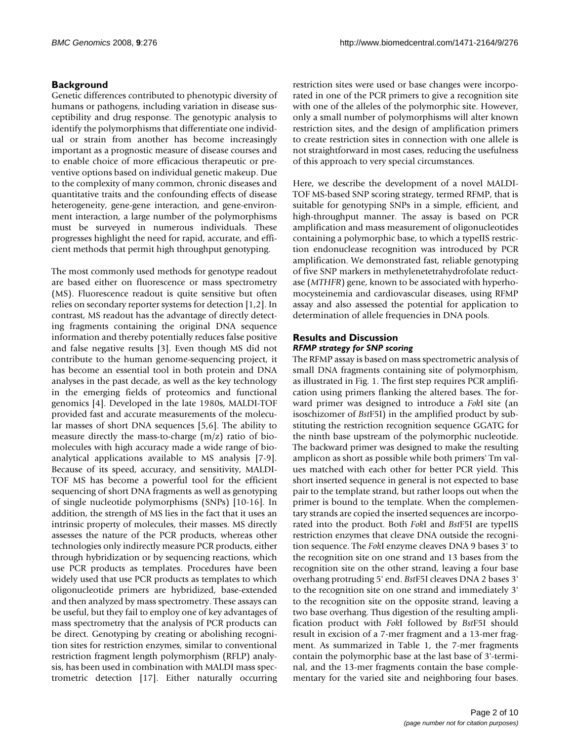# **Background**

Genetic differences contributed to phenotypic diversity of humans or pathogens, including variation in disease susceptibility and drug response. The genotypic analysis to identify the polymorphisms that differentiate one individual or strain from another has become increasingly important as a prognostic measure of disease courses and to enable choice of more efficacious therapeutic or preventive options based on individual genetic makeup. Due to the complexity of many common, chronic diseases and quantitative traits and the confounding effects of disease heterogeneity, gene-gene interaction, and gene-environment interaction, a large number of the polymorphisms must be surveyed in numerous individuals. These progresses highlight the need for rapid, accurate, and efficient methods that permit high throughput genotyping.

The most commonly used methods for genotype readout are based either on fluorescence or mass spectrometry (MS). Fluorescence readout is quite sensitive but often relies on secondary reporter systems for detection [1,2]. In contrast, MS readout has the advantage of directly detecting fragments containing the original DNA sequence information and thereby potentially reduces false positive and false negative results [3]. Even though MS did not contribute to the human genome-sequencing project, it has become an essential tool in both protein and DNA analyses in the past decade, as well as the key technology in the emerging fields of proteomics and functional genomics [4]. Developed in the late 1980s, MALDI-TOF provided fast and accurate measurements of the molecular masses of short DNA sequences [5,6]. The ability to measure directly the mass-to-charge (m/z) ratio of biomolecules with high accuracy made a wide range of bioanalytical applications available to MS analysis [7-9]. Because of its speed, accuracy, and sensitivity, MALDI-TOF MS has become a powerful tool for the efficient sequencing of short DNA fragments as well as genotyping of single nucleotide polymorphisms (SNPs) [10-16]. In addition, the strength of MS lies in the fact that it uses an intrinsic property of molecules, their masses. MS directly assesses the nature of the PCR products, whereas other technologies only indirectly measure PCR products, either through hybridization or by sequencing reactions, which use PCR products as templates. Procedures have been widely used that use PCR products as templates to which oligonucleotide primers are hybridized, base-extended and then analyzed by mass spectrometry. These assays can be useful, but they fail to employ one of key advantages of mass spectrometry that the analysis of PCR products can be direct. Genotyping by creating or abolishing recognition sites for restriction enzymes, similar to conventional restriction fragment length polymorphism (RFLP) analysis, has been used in combination with MALDI mass spectrometric detection [17]. Either naturally occurring restriction sites were used or base changes were incorporated in one of the PCR primers to give a recognition site with one of the alleles of the polymorphic site. However, only a small number of polymorphisms will alter known restriction sites, and the design of amplification primers to create restriction sites in connection with one allele is not straightforward in most cases, reducing the usefulness of this approach to very special circumstances.

Here, we describe the development of a novel MALDI-TOF MS-based SNP scoring strategy, termed RFMP, that is suitable for genotyping SNPs in a simple, efficient, and high-throughput manner. The assay is based on PCR amplification and mass measurement of oligonucleotides containing a polymorphic base, to which a typeIIS restriction endonuclease recognition was introduced by PCR amplification. We demonstrated fast, reliable genotyping of five SNP markers in methylenetetrahydrofolate reductase (*MTHFR*) gene, known to be associated with hyperhomocysteinemia and cardiovascular diseases, using RFMP assay and also assessed the potential for application to determination of allele frequencies in DNA pools.

## **Results and Discussion** *RFMP strategy for SNP scoring*

The RFMP assay is based on mass spectrometric analysis of small DNA fragments containing site of polymorphism, as illustrated in Fig. 1. The first step requires PCR amplification using primers flanking the altered bases. The forward primer was designed to introduce a *Fok*I site (an isoschizomer of *Bst*F5I) in the amplified product by substituting the restriction recognition sequence GGATG for the ninth base upstream of the polymorphic nucleotide. The backward primer was designed to make the resulting amplicon as short as possible while both primers' Tm values matched with each other for better PCR yield. This short inserted sequence in general is not expected to base pair to the template strand, but rather loops out when the primer is bound to the template. When the complementary strands are copied the inserted sequences are incorporated into the product. Both *Fok*I and *Bst*F5I are typeIIS restriction enzymes that cleave DNA outside the recognition sequence. The *Fok*I enzyme cleaves DNA 9 bases 3' to the recognition site on one strand and 13 bases from the recognition site on the other strand, leaving a four base overhang protruding 5' end. *Bst*F5I cleaves DNA 2 bases 3' to the recognition site on one strand and immediately 3' to the recognition site on the opposite strand, leaving a two base overhang. Thus digestion of the resulting amplification product with *Fok*I followed by *Bst*F5I should result in excision of a 7-mer fragment and a 13-mer fragment. As summarized in Table 1, the 7-mer fragments contain the polymorphic base at the last base of 3'-terminal, and the 13-mer fragments contain the base complementary for the varied site and neighboring four bases.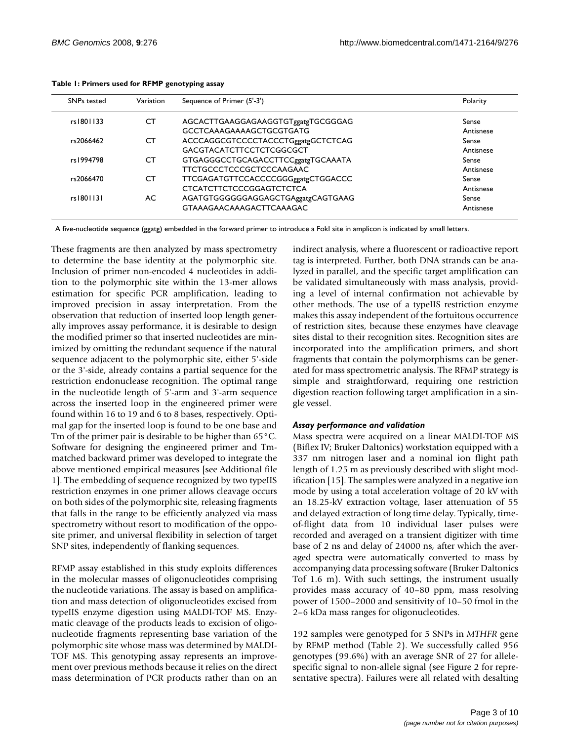| <b>SNPs</b> tested<br>Variation |     | Sequence of Primer (5'-3')         | Polarity  |  |
|---------------------------------|-----|------------------------------------|-----------|--|
| rs1801133                       | CТ  | AGCACTTGAAGGAGAAGGTGTggatgTGCGGGAG | Sense     |  |
|                                 |     | GCCTCAAAGAAAAGCTGCGTGATG           | Antisnese |  |
| rs2066462                       | CТ  | ACCCAGGCGTCCCCTACCCTGggatgGCTCTCAG | Sense     |  |
|                                 |     | GACGTACATCTTCCTCTCGGCGCT           | Antisnese |  |
| rs1994798                       | CТ  | GTGAGGGCCTGCAGACCTTCCggatgTGCAAATA | Sense     |  |
|                                 |     | <b>TTCTGCCCTCCCGCTCCCAAGAAC</b>    | Antisnese |  |
| rs2066470                       | CТ  | TTCGAGATGTTCCACCCCGGGggatgCTGGACCC | Sense     |  |
|                                 |     | <b>CTCATCTTCTCCCGGAGTCTCTCA</b>    | Antisnese |  |
| rs1801131                       | AC. | AGATGTGGGGGGAGGAGCTGAggatgCAGTGAAG | Sense     |  |
|                                 |     | GTAAAGAACAAAGACTTCAAAGAC           | Antisnese |  |

**Table 1: Primers used for RFMP genotyping assay**

A five-nucleotide sequence (ggatg) embedded in the forward primer to introduce a FokI site in amplicon is indicated by small letters.

These fragments are then analyzed by mass spectrometry to determine the base identity at the polymorphic site. Inclusion of primer non-encoded 4 nucleotides in addition to the polymorphic site within the 13-mer allows estimation for specific PCR amplification, leading to improved precision in assay interpretation. From the observation that reduction of inserted loop length generally improves assay performance, it is desirable to design the modified primer so that inserted nucleotides are minimized by omitting the redundant sequence if the natural sequence adjacent to the polymorphic site, either 5'-side or the 3'-side, already contains a partial sequence for the restriction endonuclease recognition. The optimal range in the nucleotide length of 5'-arm and 3'-arm sequence across the inserted loop in the engineered primer were found within 16 to 19 and 6 to 8 bases, respectively. Optimal gap for the inserted loop is found to be one base and Tm of the primer pair is desirable to be higher than 65 °C. Software for designing the engineered primer and Tmmatched backward primer was developed to integrate the above mentioned empirical measures [see Additional file 1]. The embedding of sequence recognized by two typeIIS restriction enzymes in one primer allows cleavage occurs on both sides of the polymorphic site, releasing fragments that falls in the range to be efficiently analyzed via mass spectrometry without resort to modification of the opposite primer, and universal flexibility in selection of target SNP sites, independently of flanking sequences.

RFMP assay established in this study exploits differences in the molecular masses of oligonucleotides comprising the nucleotide variations. The assay is based on amplification and mass detection of oligonucleotides excised from typeIIS enzyme digestion using MALDI-TOF MS. Enzymatic cleavage of the products leads to excision of oligonucleotide fragments representing base variation of the polymorphic site whose mass was determined by MALDI-TOF MS. This genotyping assay represents an improvement over previous methods because it relies on the direct mass determination of PCR products rather than on an

indirect analysis, where a fluorescent or radioactive report tag is interpreted. Further, both DNA strands can be analyzed in parallel, and the specific target amplification can be validated simultaneously with mass analysis, providing a level of internal confirmation not achievable by other methods. The use of a typeIIS restriction enzyme makes this assay independent of the fortuitous occurrence of restriction sites, because these enzymes have cleavage sites distal to their recognition sites. Recognition sites are incorporated into the amplification primers, and short fragments that contain the polymorphisms can be generated for mass spectrometric analysis. The RFMP strategy is simple and straightforward, requiring one restriction digestion reaction following target amplification in a single vessel.

## *Assay performance and validation*

Mass spectra were acquired on a linear MALDI-TOF MS (Biflex IV; Bruker Daltonics) workstation equipped with a 337 nm nitrogen laser and a nominal ion flight path length of 1.25 m as previously described with slight modification [15]. The samples were analyzed in a negative ion mode by using a total acceleration voltage of 20 kV with an 18.25-kV extraction voltage, laser attenuation of 55 and delayed extraction of long time delay. Typically, timeof-flight data from 10 individual laser pulses were recorded and averaged on a transient digitizer with time base of 2 ns and delay of 24000 ns, after which the averaged spectra were automatically converted to mass by accompanying data processing software (Bruker Daltonics Tof 1.6 m). With such settings, the instrument usually provides mass accuracy of 40–80 ppm, mass resolving power of 1500–2000 and sensitivity of 10–50 fmol in the 2–6 kDa mass ranges for oligonucleotides.

192 samples were genotyped for 5 SNPs in *MTHFR* gene by RFMP method (Table 2). We successfully called 956 genotypes (99.6%) with an average SNR of 27 for allelespecific signal to non-allele signal (see Figure 2 for representative spectra). Failures were all related with desalting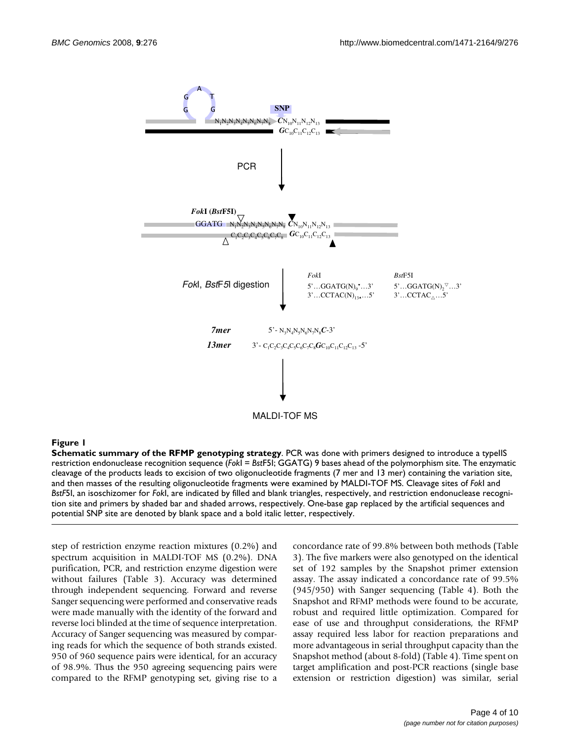

## **Figure 1**

**Schematic summary of the RFMP genotyping strategy**. PCR was done with primers designed to introduce a typeIIS restriction endonuclease recognition sequence (*Fok*I = *Bst*F5I; GGATG) 9 bases ahead of the polymorphism site. The enzymatic cleavage of the products leads to excision of two oligonucleotide fragments (7 mer and 13 mer) containing the variation site, and then masses of the resulting oligonucleotide fragments were examined by MALDI-TOF MS. Cleavage sites of *Fok*I and *BstF*5I, an isoschizomer for *Fok*I, are indicated by filled and blank triangles, respectively, and restriction endonuclease recognition site and primers by shaded bar and shaded arrows, respectively. One-base gap replaced by the artificial sequences and potential SNP site are denoted by blank space and a bold italic letter, respectively.

step of restriction enzyme reaction mixtures (0.2%) and spectrum acquisition in MALDI-TOF MS (0.2%). DNA purification, PCR, and restriction enzyme digestion were without failures (Table 3). Accuracy was determined through independent sequencing. Forward and reverse Sanger sequencing were performed and conservative reads were made manually with the identity of the forward and reverse loci blinded at the time of sequence interpretation. Accuracy of Sanger sequencing was measured by comparing reads for which the sequence of both strands existed. 950 of 960 sequence pairs were identical, for an accuracy of 98.9%. Thus the 950 agreeing sequencing pairs were compared to the RFMP genotyping set, giving rise to a

concordance rate of 99.8% between both methods (Table 3). The five markers were also genotyped on the identical set of 192 samples by the Snapshot primer extension assay. The assay indicated a concordance rate of 99.5% (945/950) with Sanger sequencing (Table 4). Both the Snapshot and RFMP methods were found to be accurate, robust and required little optimization. Compared for ease of use and throughput considerations, the RFMP assay required less labor for reaction preparations and more advantageous in serial throughput capacity than the Snapshot method (about 8-fold) (Table 4). Time spent on target amplification and post-PCR reactions (single base extension or restriction digestion) was similar, serial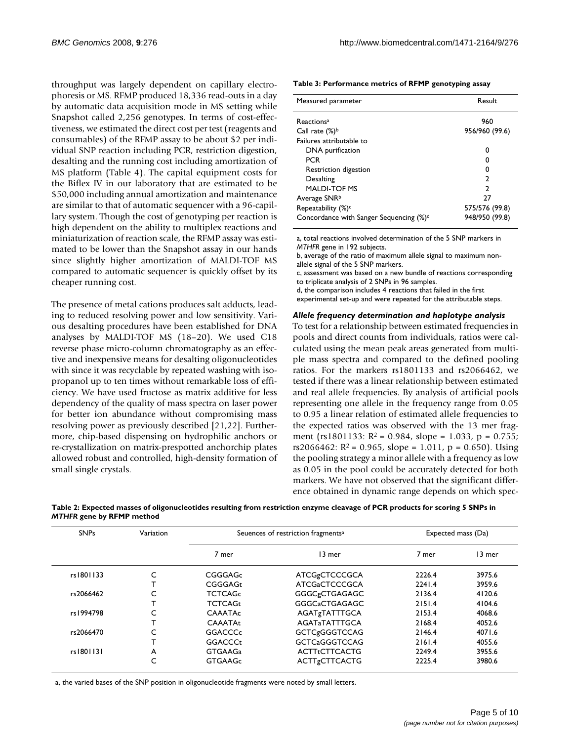throughput was largely dependent on capillary electrophoresis or MS. RFMP produced 18,336 read-outs in a day by automatic data acquisition mode in MS setting while Snapshot called 2,256 genotypes. In terms of cost-effectiveness, we estimated the direct cost per test (reagents and consumables) of the RFMP assay to be about \$2 per individual SNP reaction including PCR, restriction digestion, desalting and the running cost including amortization of MS platform (Table 4). The capital equipment costs for the Biflex IV in our laboratory that are estimated to be \$50,000 including annual amortization and maintenance are similar to that of automatic sequencer with a 96-capillary system. Though the cost of genotyping per reaction is high dependent on the ability to multiplex reactions and miniaturization of reaction scale, the RFMP assay was estimated to be lower than the Snapshot assay in our hands since slightly higher amortization of MALDI-TOF MS compared to automatic sequencer is quickly offset by its cheaper running cost.

The presence of metal cations produces salt adducts, leading to reduced resolving power and low sensitivity. Various desalting procedures have been established for DNA analyses by MALDI-TOF MS (18–20). We used C18 reverse phase micro-column chromatography as an effective and inexpensive means for desalting oligonucleotides with since it was recyclable by repeated washing with isopropanol up to ten times without remarkable loss of efficiency. We have used fructose as matrix additive for less dependency of the quality of mass spectra on laser power for better ion abundance without compromising mass resolving power as previously described [21,22]. Furthermore, chip-based dispensing on hydrophilic anchors or re-crystallization on matrix-prespotted anchorchip plates allowed robust and controlled, high-density formation of small single crystals.

| Table 3: Performance metrics of RFMP genotyping assay |  |  |  |  |
|-------------------------------------------------------|--|--|--|--|
|-------------------------------------------------------|--|--|--|--|

| Measured parameter                                  | Result         |  |  |
|-----------------------------------------------------|----------------|--|--|
| Reactions <sup>a</sup>                              | 960            |  |  |
| Call rate $(\%)^b$                                  | 956/960 (99.6) |  |  |
| Failures attributable to                            |                |  |  |
| DNA purification                                    | 0              |  |  |
| <b>PCR</b>                                          | 0              |  |  |
| Restriction digestion                               | 0              |  |  |
| Desalting                                           | $\mathcal{P}$  |  |  |
| MAI DI-TOF MS                                       | $\mathcal{P}$  |  |  |
| Average SNRb                                        | 27             |  |  |
| Repeatability $(\%)^c$                              | 575/576 (99.8) |  |  |
| Concordance with Sanger Sequencing (%) <sup>d</sup> | 948/950 (99.8) |  |  |

a, total reactions involved determination of the 5 SNP markers in *MTHFR* gene in 192 subjects.

b, average of the ratio of maximum allele signal to maximum nonallele signal of the 5 SNP markers.

c, assessment was based on a new bundle of reactions corresponding to triplicate analysis of 2 SNPs in 96 samples.

d, the comparison includes 4 reactions that failed in the first

experimental set-up and were repeated for the attributable steps.

#### *Allele frequency determination and haplotype analysis*

To test for a relationship between estimated frequencies in pools and direct counts from individuals, ratios were calculated using the mean peak areas generated from multiple mass spectra and compared to the defined pooling ratios. For the markers rs1801133 and rs2066462, we tested if there was a linear relationship between estimated and real allele frequencies. By analysis of artificial pools representing one allele in the frequency range from 0.05 to 0.95 a linear relation of estimated allele frequencies to the expected ratios was observed with the 13 mer fragment (rs1801133:  $R^2$  = 0.984, slope = 1.033, p = 0.755; rs2066462:  $R^2$  = 0.965, slope = 1.011, p = 0.650). Using the pooling strategy a minor allele with a frequency as low as 0.05 in the pool could be accurately detected for both markers. We have not observed that the significant difference obtained in dynamic range depends on which spec-

| Table 2: Expected masses of oligonucleotides resulting from restriction enzyme cleavage of PCR products for scoring 5 SNPs in |  |
|-------------------------------------------------------------------------------------------------------------------------------|--|
| <b>MTHFR gene by RFMP method</b>                                                                                              |  |

| <b>SNPs</b> | Variation | Seuences of restriction fragments <sup>a</sup> |                       | Expected mass (Da) |        |
|-------------|-----------|------------------------------------------------|-----------------------|--------------------|--------|
|             |           | 7 mer                                          | 13 mer                | 7 mer              | 13 mer |
| rs1801133   | C         | CGGGAGc                                        | <b>ATCGgCTCCCGCA</b>  | 2226.4             | 3975.6 |
|             | ᠇         | CGGGAGt                                        | <b>ATCGaCTCCCCGCA</b> | 2241.4             | 3959.6 |
| rs2066462   | C         | <b>TCTCAGc</b>                                 | <b>GGGCgCTGAGAGC</b>  | 2136.4             | 4120.6 |
|             |           | <b>TCTCAGt</b>                                 | GGGCaCTGAGAGC         | 2151.4             | 4104.6 |
| rs1994798   | C         | <b>CAAATAc</b>                                 | AGATgTATTTGCA         | 2153.4             | 4068.6 |
|             |           | <b>CAAATAt</b>                                 | <b>AGATaTATTTGCA</b>  | 2168.4             | 4052.6 |
| rs2066470   | C         | <b>GGACCCc</b>                                 | <b>GCTCgGGGTCCAG</b>  | 2146.4             | 4071.6 |
|             | ᠇         | GGACCCt                                        | <b>GCTCaGGGTCCAG</b>  | 2161.4             | 4055.6 |
| rs1801131   | A         | <b>GTGAAGa</b>                                 | <b>ACTTtCTTCACTG</b>  | 2249.4             | 3955.6 |
|             | C         | <b>GTGAAGc</b>                                 | <b>ACTTgCTTCACTG</b>  | 2225.4             | 3980.6 |

a, the varied bases of the SNP position in oligonucleotide fragments were noted by small letters.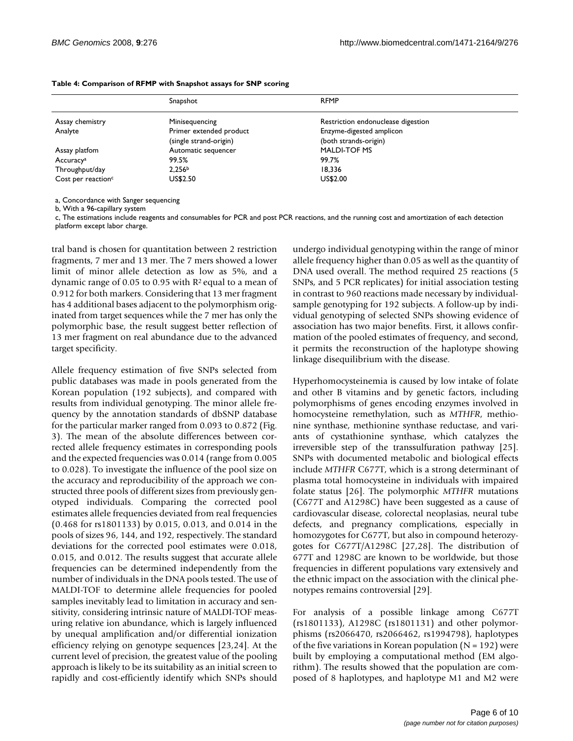|                                | Snapshot                | <b>RFMP</b>                        |
|--------------------------------|-------------------------|------------------------------------|
| Assay chemistry                | Minisequencing          | Restriction endonuclease digestion |
| Analyte                        | Primer extended product | Enzyme-digested amplicon           |
|                                | (single strand-origin)  | (both strands-origin)              |
| Assay platfom                  | Automatic sequencer     | <b>MALDI-TOF MS</b>                |
| Accuracy <sup>a</sup>          | 99.5%                   | 99.7%                              |
| Throughput/day                 | 2,256 <sup>b</sup>      | 18.336                             |
| Cost per reaction <sup>c</sup> | US\$2.50                | US\$2.00                           |

#### **Table 4: Comparison of RFMP with Snapshot assays for SNP scoring**

a, Concordance with Sanger sequencing

b, With a 96-capillary system

c, The estimations include reagents and consumables for PCR and post PCR reactions, and the running cost and amortization of each detection platform except labor charge.

tral band is chosen for quantitation between 2 restriction fragments, 7 mer and 13 mer. The 7 mers showed a lower limit of minor allele detection as low as 5%, and a dynamic range of 0.05 to 0.95 with R2 equal to a mean of 0.912 for both markers. Considering that 13 mer fragment has 4 additional bases adjacent to the polymorphism originated from target sequences while the 7 mer has only the polymorphic base, the result suggest better reflection of 13 mer fragment on real abundance due to the advanced target specificity.

Allele frequency estimation of five SNPs selected from public databases was made in pools generated from the Korean population (192 subjects), and compared with results from individual genotyping. The minor allele frequency by the annotation standards of dbSNP database for the particular marker ranged from 0.093 to 0.872 (Fig. 3). The mean of the absolute differences between corrected allele frequency estimates in corresponding pools and the expected frequencies was 0.014 (range from 0.005 to 0.028). To investigate the influence of the pool size on the accuracy and reproducibility of the approach we constructed three pools of different sizes from previously genotyped individuals. Comparing the corrected pool estimates allele frequencies deviated from real frequencies (0.468 for rs1801133) by 0.015, 0.013, and 0.014 in the pools of sizes 96, 144, and 192, respectively. The standard deviations for the corrected pool estimates were 0.018, 0.015, and 0.012. The results suggest that accurate allele frequencies can be determined independently from the number of individuals in the DNA pools tested. The use of MALDI-TOF to determine allele frequencies for pooled samples inevitably lead to limitation in accuracy and sensitivity, considering intrinsic nature of MALDI-TOF measuring relative ion abundance, which is largely influenced by unequal amplification and/or differential ionization efficiency relying on genotype sequences [23,24]. At the current level of precision, the greatest value of the pooling approach is likely to be its suitability as an initial screen to rapidly and cost-efficiently identify which SNPs should

undergo individual genotyping within the range of minor allele frequency higher than 0.05 as well as the quantity of DNA used overall. The method required 25 reactions (5 SNPs, and 5 PCR replicates) for initial association testing in contrast to 960 reactions made necessary by individualsample genotyping for 192 subjects. A follow-up by individual genotyping of selected SNPs showing evidence of association has two major benefits. First, it allows confirmation of the pooled estimates of frequency, and second, it permits the reconstruction of the haplotype showing linkage disequilibrium with the disease.

Hyperhomocysteinemia is caused by low intake of folate and other B vitamins and by genetic factors, including polymorphisms of genes encoding enzymes involved in homocysteine remethylation, such as *MTHFR*, methionine synthase, methionine synthase reductase, and variants of cystathionine synthase, which catalyzes the irreversible step of the transsulfuration pathway [25]. SNPs with documented metabolic and biological effects include *MTHFR* C677T, which is a strong determinant of plasma total homocysteine in individuals with impaired folate status [26]. The polymorphic *MTHFR* mutations (C677T and A1298C) have been suggested as a cause of cardiovascular disease, colorectal neoplasias, neural tube defects, and pregnancy complications, especially in homozygotes for C677T, but also in compound heterozygotes for C677T/A1298C [27,28]. The distribution of 677T and 1298C are known to be worldwide, but those frequencies in different populations vary extensively and the ethnic impact on the association with the clinical phenotypes remains controversial [29].

For analysis of a possible linkage among C677T (rs1801133), A1298C (rs1801131) and other polymorphisms (rs2066470, rs2066462, rs1994798), haplotypes of the five variations in Korean population ( $N = 192$ ) were built by employing a computational method (EM algorithm). The results showed that the population are composed of 8 haplotypes, and haplotype M1 and M2 were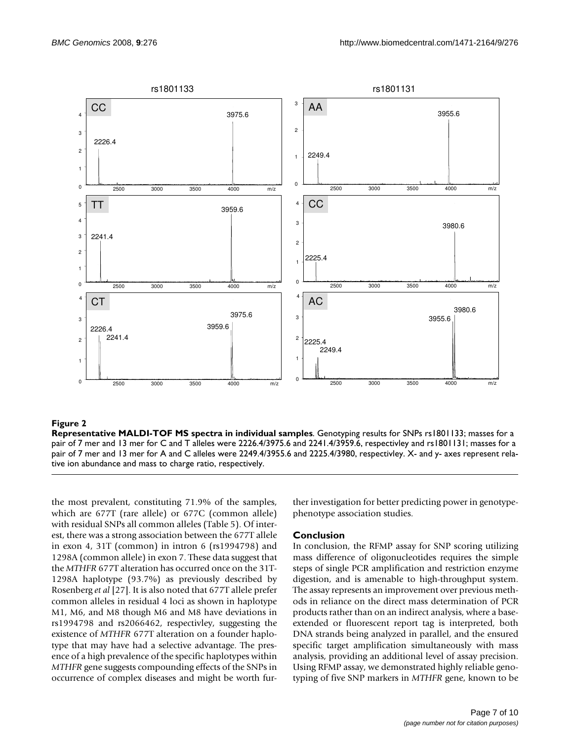

## Figure 2

**Representative MALDI-TOF MS spectra in individual samples**. Genotyping results for SNPs rs1801133; masses for a pair of 7 mer and 13 mer for C and T alleles were 2226.4/3975.6 and 2241.4/3959.6, respectivley and rs1801131; masses for a pair of 7 mer and 13 mer for A and C alleles were 2249.4/3955.6 and 2225.4/3980, respectivley. X- and y- axes represent relative ion abundance and mass to charge ratio, respectively.

the most prevalent, constituting 71.9% of the samples, which are 677T (rare allele) or 677C (common allele) with residual SNPs all common alleles (Table 5). Of interest, there was a strong association between the 677T allele in exon 4, 31T (common) in intron 6 (rs1994798) and 1298A (common allele) in exon 7. These data suggest that the *MTHFR* 677T alteration has occurred once on the 31T-1298A haplotype (93.7%) as previously described by Rosenberg *et al* [27]. It is also noted that 677T allele prefer common alleles in residual 4 loci as shown in haplotype M1, M6, and M8 though M6 and M8 have deviations in rs1994798 and rs2066462, respectivley, suggesting the existence of *MTHFR* 677T alteration on a founder haplotype that may have had a selective advantage. The presence of a high prevalence of the specific haplotypes within *MTHFR* gene suggests compounding effects of the SNPs in occurrence of complex diseases and might be worth further investigation for better predicting power in genotypephenotype association studies.

#### **Conclusion**

In conclusion, the RFMP assay for SNP scoring utilizing mass difference of oligonucleotides requires the simple steps of single PCR amplification and restriction enzyme digestion, and is amenable to high-throughput system. The assay represents an improvement over previous methods in reliance on the direct mass determination of PCR products rather than on an indirect analysis, where a baseextended or fluorescent report tag is interpreted, both DNA strands being analyzed in parallel, and the ensured specific target amplification simultaneously with mass analysis, providing an additional level of assay precision. Using RFMP assay, we demonstrated highly reliable genotyping of five SNP markers in *MTHFR* gene, known to be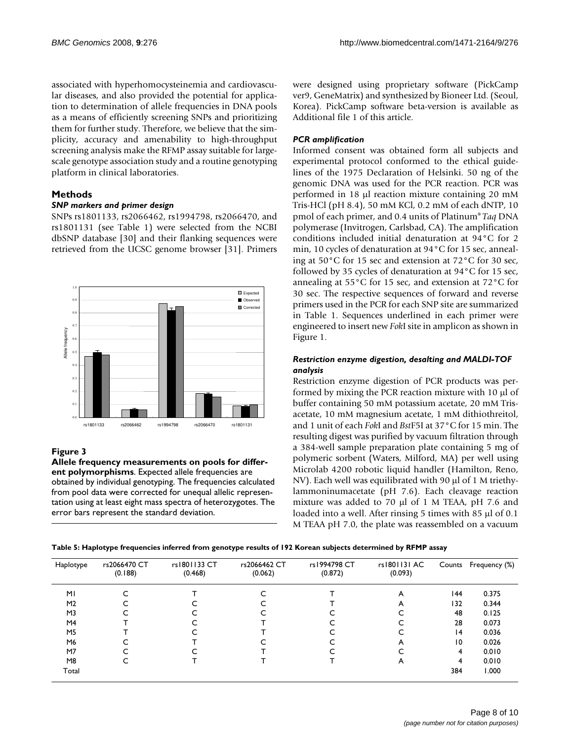associated with hyperhomocysteinemia and cardiovascular diseases, and also provided the potential for application to determination of allele frequencies in DNA pools as a means of efficiently screening SNPs and prioritizing them for further study. Therefore, we believe that the simplicity, accuracy and amenability to high-throughput screening analysis make the RFMP assay suitable for largescale genotype association study and a routine genotyping platform in clinical laboratories.

# **Methods**

# *SNP markers and primer design*

SNPs rs1801133, rs2066462, rs1994798, rs2066470, and rs1801131 (see Table 1) were selected from the NCBI dbSNP database [30] and their flanking sequences were retrieved from the UCSC genome browser [31]. Primers



# Figure 3

**Allele frequency measurements on pools for different polymorphisms**. Expected allele frequencies are obtained by individual genotyping. The frequencies calculated from pool data were corrected for unequal allelic representation using at least eight mass spectra of heterozygotes. The error bars represent the standard deviation.

were designed using proprietary software (PickCamp ver9, GeneMatrix) and synthesized by Bioneer Ltd. (Seoul, Korea). PickCamp software beta-version is available as Additional file 1 of this article.

# *PCR amplification*

Informed consent was obtained form all subjects and experimental protocol conformed to the ethical guidelines of the 1975 Declaration of Helsinki. 50 ng of the genomic DNA was used for the PCR reaction. PCR was performed in 18 μl reaction mixture containing 20 mM Tris-HCl (pH 8.4), 50 mM KCl, 0.2 mM of each dNTP, 10 pmol of each primer, and 0.4 units of Platinum® *Taq* DNA polymerase (Invitrogen, Carlsbad, CA). The amplification conditions included initial denaturation at 94°C for 2 min, 10 cycles of denaturation at 94°C for 15 sec, annealing at 50°C for 15 sec and extension at 72°C for 30 sec, followed by 35 cycles of denaturation at 94°C for 15 sec, annealing at 55°C for 15 sec, and extension at 72°C for 30 sec. The respective sequences of forward and reverse primers used in the PCR for each SNP site are summarized in Table 1. Sequences underlined in each primer were engineered to insert new *Fok*I site in amplicon as shown in Figure 1.

# *Restriction enzyme digestion, desalting and MALDI-TOF analysis*

Restriction enzyme digestion of PCR products was performed by mixing the PCR reaction mixture with 10 μl of buffer containing 50 mM potassium acetate, 20 mM Trisacetate, 10 mM magnesium acetate, 1 mM dithiothreitol, and 1 unit of each *Fok*I and *Bst*F5I at 37°C for 15 min. The resulting digest was purified by vacuum filtration through a 384-well sample preparation plate containing 5 mg of polymeric sorbent (Waters, Milford, MA) per well using Microlab 4200 robotic liquid handler (Hamilton, Reno, NV). Each well was equilibrated with 90 μl of 1 M triethylammoninumacetate (pH 7.6). Each cleavage reaction mixture was added to 70 μl of 1 M TEAA, pH 7.6 and loaded into a well. After rinsing 5 times with 85 μl of 0.1 M TEAA pH 7.0, the plate was reassembled on a vacuum

**Table 5: Haplotype frequencies inferred from genotype results of 192 Korean subjects determined by RFMP assay**

| Haplotype      | rs2066470 CT<br>(0.188) | rs1801133 CT<br>(0.468) | rs2066462 CT<br>(0.062) | rs1994798 CT<br>(0.872) | rs1801131 AC<br>(0.093) |     | Counts Frequency (%) |
|----------------|-------------------------|-------------------------|-------------------------|-------------------------|-------------------------|-----|----------------------|
| MI             |                         |                         |                         |                         | A                       | 144 | 0.375                |
| M <sub>2</sub> |                         |                         |                         |                         | A                       | 132 | 0.344                |
| M3             |                         |                         |                         |                         |                         | 48  | 0.125                |
| M <sub>4</sub> |                         |                         |                         |                         |                         | 28  | 0.073                |
| M <sub>5</sub> |                         |                         |                         |                         |                         | 4   | 0.036                |
| M6             |                         |                         |                         |                         | A                       | 10  | 0.026                |
| M7             |                         |                         |                         |                         |                         | 4   | 0.010                |
| M8             |                         |                         |                         |                         | A                       | 4   | 0.010                |
| Total          |                         |                         |                         |                         |                         | 384 | 1.000                |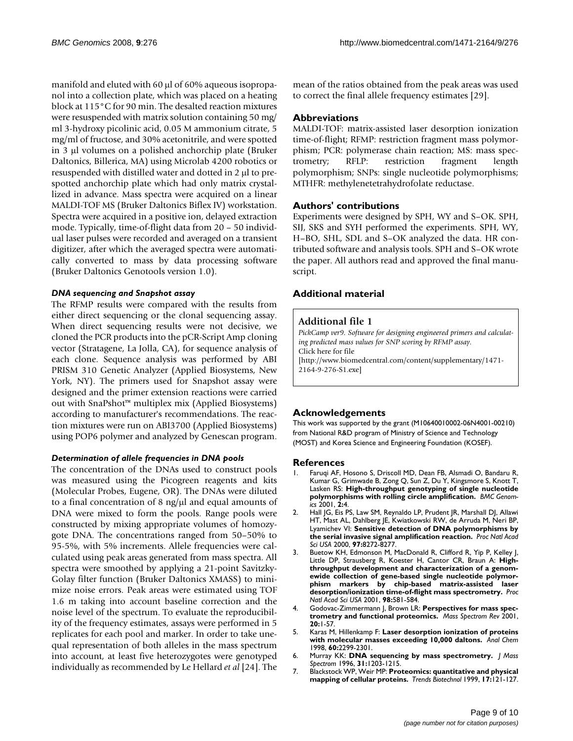manifold and eluted with 60 μl of 60% aqueous isopropanol into a collection plate, which was placed on a heating block at 115°C for 90 min. The desalted reaction mixtures were resuspended with matrix solution containing 50 mg/ ml 3-hydroxy picolinic acid, 0.05 M ammonium citrate, 5 mg/ml of fructose, and 30% acetonitrile, and were spotted in 3 μl volumes on a polished anchorchip plate (Bruker Daltonics, Billerica, MA) using Microlab 4200 robotics or resuspended with distilled water and dotted in 2 μl to prespotted anchorchip plate which had only matrix crystallized in advance. Mass spectra were acquired on a linear MALDI-TOF MS (Bruker Daltonics Biflex IV) workstation. Spectra were acquired in a positive ion, delayed extraction mode. Typically, time-of-flight data from 20 – 50 individual laser pulses were recorded and averaged on a transient digitizer, after which the averaged spectra were automatically converted to mass by data processing software (Bruker Daltonics Genotools version 1.0).

## *DNA sequencing and Snapshot assay*

The RFMP results were compared with the results from either direct sequencing or the clonal sequencing assay. When direct sequencing results were not decisive, we cloned the PCR products into the pCR-Script Amp cloning vector (Stratagene, La Jolla, CA), for sequence analysis of each clone. Sequence analysis was performed by ABI PRISM 310 Genetic Analyzer (Applied Biosystems, New York, NY). The primers used for Snapshot assay were designed and the primer extension reactions were carried out with SnaPshot™ multiplex mix (Applied Biosystems) according to manufacturer's recommendations. The reaction mixtures were run on ABI3700 (Applied Biosystems) using POP6 polymer and analyzed by Genescan program.

## *Determination of allele frequencies in DNA pools*

The concentration of the DNAs used to construct pools was measured using the Picogreen reagents and kits (Molecular Probes, Eugene, OR). The DNAs were diluted to a final concentration of 8 ng/μl and equal amounts of DNA were mixed to form the pools. Range pools were constructed by mixing appropriate volumes of homozygote DNA. The concentrations ranged from 50–50% to 95-5%, with 5% increments. Allele frequencies were calculated using peak areas generated from mass spectra. All spectra were smoothed by applying a 21-point Savitzky-Golay filter function (Bruker Daltonics XMASS) to minimize noise errors. Peak areas were estimated using TOF 1.6 m taking into account baseline correction and the noise level of the spectrum. To evaluate the reproducibility of the frequency estimates, assays were performed in 5 replicates for each pool and marker. In order to take unequal representation of both alleles in the mass spectrum into account, at least five heterozygotes were genotyped individually as recommended by Le Hellard *et al* [24]. The mean of the ratios obtained from the peak areas was used to correct the final allele frequency estimates [29].

# **Abbreviations**

MALDI-TOF: matrix-assisted laser desorption ionization time-of-flight; RFMP: restriction fragment mass polymorphism; PCR: polymerase chain reaction; MS: mass spectrometry; RFLP: restriction fragment length polymorphism; SNPs: single nucleotide polymorphisms; MTHFR: methylenetetrahydrofolate reductase.

# **Authors' contributions**

Experiments were designed by SPH, WY and S–OK. SPH, SIJ, SKS and SYH performed the experiments. SPH, WY, H–BO, SHL, SDL and S–OK analyzed the data. HR contributed software and analysis tools. SPH and S–OK wrote the paper. All authors read and approved the final manuscript.

# **Additional material**

## **Additional file 1**

*PickCamp ver9. Software for designing engineered primers and calculating predicted mass values for SNP scoring by RFMP assay.* Click here for file [\[http://www.biomedcentral.com/content/supplementary/1471-](http://www.biomedcentral.com/content/supplementary/1471-2164-9-276-S1.exe) 2164-9-276-S1.exe]

# **Acknowledgements**

This work was supported by the grant (M10640010002-06N4001-00210) from National R&D program of Ministry of Science and Technology (MOST) and Korea Science and Engineering Foundation (KOSEF).

## **References**

- 1. Faruqi AF, Hosono S, Driscoll MD, Dean FB, Alsmadi O, Bandaru R, Kumar G, Grimwade B, Zong Q, Sun Z, Du Y, Kingsmore S, Knott T, Lasken RS: **[High-throughput genotyping of single nucleotide](http://www.ncbi.nlm.nih.gov/entrez/query.fcgi?cmd=Retrieve&db=PubMed&dopt=Abstract&list_uids=11511324) [polymorphisms with rolling circle amplification.](http://www.ncbi.nlm.nih.gov/entrez/query.fcgi?cmd=Retrieve&db=PubMed&dopt=Abstract&list_uids=11511324)** *BMC Genomics* 2001, **2:**4.
- 2. Hall JG, Eis PS, Law SM, Reynaldo LP, Prudent JR, Marshall DJ, Allawi HT, Mast AL, Dahlberg JE, Kwiatkowski RW, de Arruda M, Neri BP, Lyamichev VI: **[Sensitive detection of DNA polymorphisms by](http://www.ncbi.nlm.nih.gov/entrez/query.fcgi?cmd=Retrieve&db=PubMed&dopt=Abstract&list_uids=10890904) [the serial invasive signal amplification reaction.](http://www.ncbi.nlm.nih.gov/entrez/query.fcgi?cmd=Retrieve&db=PubMed&dopt=Abstract&list_uids=10890904)** *Proc Natl Acad Sci USA* 2000, **97:**8272-8277.
- 3. Buetow KH, Edmonson M, MacDonald R, Clifford R, Yip P, Kelley J, Little DP, Strausberg R, Koester H, Cantor CR, Braun A: **[High](http://www.ncbi.nlm.nih.gov/entrez/query.fcgi?cmd=Retrieve&db=PubMed&dopt=Abstract&list_uids=11136232)throughput development and characterization of a genom[ewide collection of gene-based single nucleotide polymor](http://www.ncbi.nlm.nih.gov/entrez/query.fcgi?cmd=Retrieve&db=PubMed&dopt=Abstract&list_uids=11136232)phism markers by chip-based matrix-assisted laser [desorption/ionization time-of-flight mass spectrometry.](http://www.ncbi.nlm.nih.gov/entrez/query.fcgi?cmd=Retrieve&db=PubMed&dopt=Abstract&list_uids=11136232)** *Proc Natl Acad Sci USA* 2001, **98:**581-584.
- 4. Godovac-Zimmermann J, Brown LR: **[Perspectives for mass spec](http://www.ncbi.nlm.nih.gov/entrez/query.fcgi?cmd=Retrieve&db=PubMed&dopt=Abstract&list_uids=11223909)[trometry and functional proteomics.](http://www.ncbi.nlm.nih.gov/entrez/query.fcgi?cmd=Retrieve&db=PubMed&dopt=Abstract&list_uids=11223909)** *Mass Spectrom Rev* 2001, **20:**1-57.
- 5. Karas M, Hillenkamp F: **Laser desorption ionization of proteins with molecular masses exceeding 10,000 daltons.** *Anal Chem* 1998, **60:**2299-2301.
- 6. Murray KK: **[DNA sequencing by mass spectrometry.](http://www.ncbi.nlm.nih.gov/entrez/query.fcgi?cmd=Retrieve&db=PubMed&dopt=Abstract&list_uids=8946729)** *J Mass Spectrom* 1996, **31:**1203-1215.
- 7. Blackstock WP, Weir MP: **[Proteomics: quantitative and physical](http://www.ncbi.nlm.nih.gov/entrez/query.fcgi?cmd=Retrieve&db=PubMed&dopt=Abstract&list_uids=10189717) [mapping of cellular proteins.](http://www.ncbi.nlm.nih.gov/entrez/query.fcgi?cmd=Retrieve&db=PubMed&dopt=Abstract&list_uids=10189717)** *Trends Biotechnol* 1999, **17:**121-127.